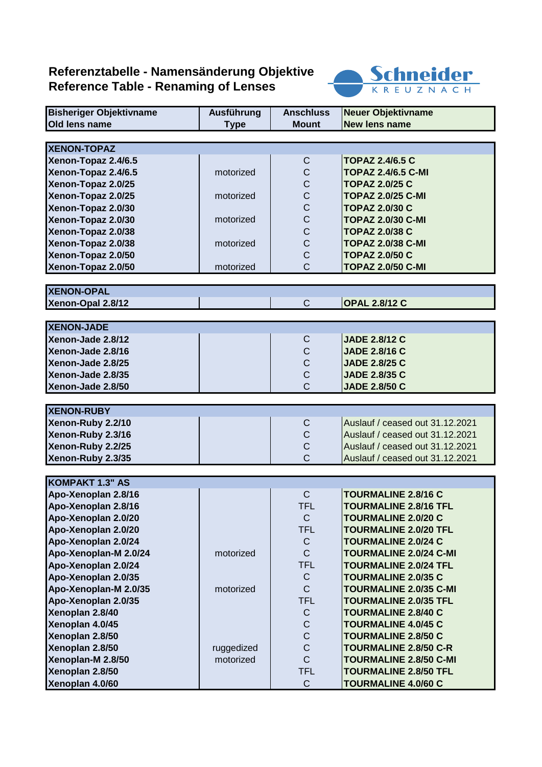## **Referenztabelle - Namensänderung Objektive Reference Table - Renaming of Lenses**



| <b>Bisheriger Objektivname</b> | Ausführung  | <b>Anschluss</b> | Neuer Objektivname              |
|--------------------------------|-------------|------------------|---------------------------------|
| Old lens name                  | <b>Type</b> | <b>Mount</b>     | <b>New lens name</b>            |
|                                |             |                  |                                 |
| <b>XENON-TOPAZ</b>             |             |                  |                                 |
| Xenon-Topaz 2.4/6.5            |             | C                | <b>TOPAZ 2.4/6.5 C</b>          |
| Xenon-Topaz 2.4/6.5            | motorized   | $\mathsf C$      | <b>TOPAZ 2.4/6.5 C-MI</b>       |
| Xenon-Topaz 2.0/25             |             | $\mathsf C$      | <b>TOPAZ 2.0/25 C</b>           |
| Xenon-Topaz 2.0/25             | motorized   | $\mathsf C$      | <b>TOPAZ 2.0/25 C-MI</b>        |
| Xenon-Topaz 2.0/30             |             | $\mathsf C$      | <b>TOPAZ 2.0/30 C</b>           |
| Xenon-Topaz 2.0/30             | motorized   | $\mathsf C$      | <b>TOPAZ 2.0/30 C-MI</b>        |
| Xenon-Topaz 2.0/38             |             | $\mathsf C$      | <b>TOPAZ 2.0/38 C</b>           |
| Xenon-Topaz 2.0/38             | motorized   | $\mathsf C$      | <b>TOPAZ 2.0/38 C-MI</b>        |
| Xenon-Topaz 2.0/50             |             | C                | <b>TOPAZ 2.0/50 C</b>           |
| Xenon-Topaz 2.0/50             | motorized   | C                | <b>TOPAZ 2.0/50 C-MI</b>        |
|                                |             |                  |                                 |
| <b>XENON-OPAL</b>              |             |                  |                                 |
| Xenon-Opal 2.8/12              |             | $\mathsf{C}$     | <b>OPAL 2.8/12 C</b>            |
|                                |             |                  |                                 |
| <b>XENON-JADE</b>              |             |                  |                                 |
| Xenon-Jade 2.8/12              |             | C                | <b>JADE 2.8/12 C</b>            |
| Xenon-Jade 2.8/16              |             | C                | <b>JADE 2.8/16 C</b>            |
| Xenon-Jade 2.8/25              |             | $\mathsf C$      | <b>JADE 2.8/25 C</b>            |
| Xenon-Jade 2.8/35              |             | $\mathsf C$      | <b>JADE 2.8/35 C</b>            |
| Xenon-Jade 2.8/50              |             | C                | <b>JADE 2.8/50 C</b>            |
|                                |             |                  |                                 |
| <b>XENON-RUBY</b>              |             |                  |                                 |
| Xenon-Ruby 2.2/10              |             | C                | Auslauf / ceased out 31.12.2021 |
| Xenon-Ruby 2.3/16              |             | $\mathsf{C}$     | Auslauf / ceased out 31.12.2021 |
| Xenon-Ruby 2.2/25              |             | $\mathsf C$      | Auslauf / ceased out 31.12.2021 |
| Xenon-Ruby 2.3/35              |             | C                | Auslauf / ceased out 31.12.2021 |
|                                |             |                  |                                 |
| <b>KOMPAKT 1.3" AS</b>         |             |                  |                                 |
| Apo-Xenoplan 2.8/16            |             | $\mathsf{C}$     | <b>TOURMALINE 2.8/16 C</b>      |
| Apo-Xenoplan 2.8/16            |             | <b>TFL</b>       | <b>TOURMALINE 2.8/16 TFL</b>    |
| Apo-Xenoplan 2.0/20            |             | $\mathsf{C}$     | <b>TOURMALINE 2.0/20 C</b>      |
| Apo-Xenoplan 2.0/20            |             | <b>TFL</b>       | <b>TOURMALINE 2.0/20 TFL</b>    |
| Apo-Xenoplan 2.0/24            |             | C                | <b>TOURMALINE 2.0/24 C</b>      |
| Apo-Xenoplan-M 2.0/24          | motorized   | $\mathsf{C}$     | <b>TOURMALINE 2.0/24 C-MI</b>   |
| Apo-Xenoplan 2.0/24            |             | <b>TFL</b>       | <b>TOURMALINE 2.0/24 TFL</b>    |
| Apo-Xenoplan 2.0/35            |             | C                | <b>TOURMALINE 2.0/35 C</b>      |
| Apo-Xenoplan-M 2.0/35          | motorized   | $\mathsf{C}$     | <b>TOURMALINE 2.0/35 C-MI</b>   |
| Apo-Xenoplan 2.0/35            |             | <b>TFL</b>       | <b>TOURMALINE 2.0/35 TFL</b>    |
| Xenoplan 2.8/40                |             | C                | <b>TOURMALINE 2.8/40 C</b>      |
| Xenoplan 4.0/45                |             | $\mathsf C$      | <b>TOURMALINE 4.0/45 C</b>      |
| Xenoplan 2.8/50                |             | $\mathsf C$      | <b>TOURMALINE 2.8/50 C</b>      |
| Xenoplan 2.8/50                | ruggedized  | $\mathsf C$      | <b>TOURMALINE 2.8/50 C-R</b>    |
| Xenoplan-M 2.8/50              | motorized   | $\mathsf{C}$     | <b>TOURMALINE 2.8/50 C-MI</b>   |
| Xenoplan 2.8/50                |             | <b>TFL</b>       | <b>TOURMALINE 2.8/50 TFL</b>    |
| Xenoplan 4.0/60                |             | $\mathsf{C}$     | <b>TOURMALINE 4.0/60 C</b>      |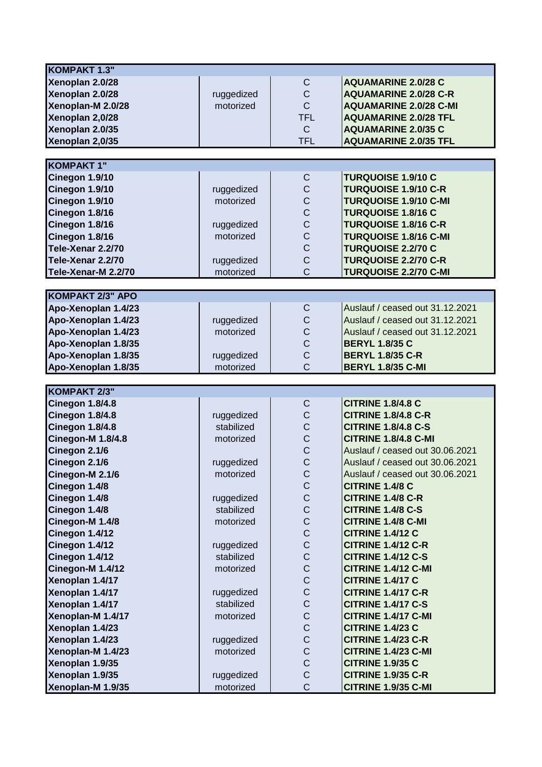| <b>KOMPAKT 1.3"</b>                  |                         |                               |                                                         |
|--------------------------------------|-------------------------|-------------------------------|---------------------------------------------------------|
| Xenoplan 2.0/28                      |                         | $\mathsf C$                   | <b>AQUAMARINE 2.0/28 C</b>                              |
| Xenoplan 2.0/28                      | ruggedized              | $\mathsf C$                   | <b>AQUAMARINE 2.0/28 C-R</b>                            |
| Xenoplan-M 2.0/28                    | motorized               | $\mathsf{C}$                  | <b>AQUAMARINE 2.0/28 C-MI</b>                           |
| Xenoplan 2,0/28                      |                         | <b>TFL</b>                    | <b>AQUAMARINE 2.0/28 TFL</b>                            |
| Xenoplan 2.0/35                      |                         | $\mathsf C$                   | <b>AQUAMARINE 2.0/35 C</b>                              |
| Xenoplan 2,0/35                      |                         | <b>TFL</b>                    | <b>AQUAMARINE 2.0/35 TFL</b>                            |
|                                      |                         |                               |                                                         |
| <b>KOMPAKT 1"</b>                    |                         |                               |                                                         |
| Cinegon 1.9/10                       |                         | C                             | <b>TURQUOISE 1.9/10 C</b>                               |
| Cinegon 1.9/10                       | ruggedized              | $\mathsf C$                   | <b>TURQUOISE 1.9/10 C-R</b>                             |
| Cinegon 1.9/10                       | motorized               | $\mathsf C$                   | <b>TURQUOISE 1.9/10 C-MI</b>                            |
| Cinegon 1.8/16                       |                         | $\mathsf C$                   | <b>TURQUOISE 1.8/16 C</b>                               |
| Cinegon 1.8/16                       | ruggedized              | $\mathsf{C}$                  | <b>TURQUOISE 1.8/16 C-R</b>                             |
| Cinegon 1.8/16                       | motorized               | $\mathsf C$                   | <b>TURQUOISE 1.8/16 C-MI</b>                            |
| Tele-Xenar 2.2/70                    |                         | $\mathsf C$                   | <b>TURQUOISE 2.2/70 C</b>                               |
| Tele-Xenar 2.2/70                    | ruggedized              | $\overline{C}$                | <b>TURQUOISE 2.2/70 C-R</b>                             |
| Tele-Xenar-M 2.2/70                  | motorized               | $\overline{C}$                | <b>TURQUOISE 2.2/70 C-MI</b>                            |
|                                      |                         |                               |                                                         |
| <b>KOMPAKT 2/3" APO</b>              |                         |                               |                                                         |
| Apo-Xenoplan 1.4/23                  |                         | C                             | Auslauf / ceased out 31,12,2021                         |
| Apo-Xenoplan 1.4/23                  | ruggedized              | $\mathsf C$                   | Auslauf / ceased out 31,12,2021                         |
| Apo-Xenoplan 1.4/23                  | motorized               | $\mathsf C$                   | Auslauf / ceased out 31.12.2021                         |
| Apo-Xenoplan 1.8/35                  |                         | $\mathsf C$                   | <b>BERYL 1.8/35 C</b>                                   |
| Apo-Xenoplan 1.8/35                  | ruggedized              | $\overline{C}$                | <b>BERYL 1.8/35 C-R</b>                                 |
| Apo-Xenoplan 1.8/35                  | motorized               | $\overline{C}$                | <b>BERYL 1.8/35 C-MI</b>                                |
|                                      |                         |                               |                                                         |
|                                      |                         |                               |                                                         |
|                                      |                         |                               |                                                         |
| KOMPAKT 2/3"                         |                         |                               |                                                         |
| <b>Cinegon 1.8/4.8</b>               |                         | C                             | <b>CITRINE 1.8/4.8 C</b>                                |
| <b>Cinegon 1.8/4.8</b>               | ruggedized              | $\mathsf C$                   | <b>CITRINE 1.8/4.8 C-R</b>                              |
| Cinegon 1.8/4.8                      | stabilized              | $\mathsf C$                   | <b>CITRINE 1.8/4.8 C-S</b>                              |
| <b>Cinegon-M 1.8/4.8</b>             | motorized               | $\mathsf C$                   | <b>CITRINE 1.8/4.8 C-MI</b>                             |
| Cinegon 2.1/6                        |                         | $\mathsf C$                   | Auslauf / ceased out 30.06.2021                         |
| Cinegon 2.1/6                        | ruggedized              | $\overline{C}$                | Auslauf / ceased out 30.06.2021                         |
| Cinegon-M 2.1/6                      | motorized               | C                             | Auslauf / ceased out 30.06.2021                         |
| Cinegon 1.4/8                        |                         | $\mathsf C$                   | <b>CITRINE 1.4/8 C</b>                                  |
| Cinegon 1.4/8                        | ruggedized              | $\mathsf C$                   | <b>CITRINE 1.4/8 C-R</b>                                |
| Cinegon 1.4/8                        | stabilized              | $\mathsf C$                   | <b>CITRINE 1.4/8 C-S</b>                                |
| Cinegon-M 1.4/8                      | motorized               | $\mathsf C$                   | CITRINE 1.4/8 C-MI                                      |
| Cinegon 1.4/12                       |                         | $\mathsf C$                   | <b>CITRINE 1.4/12 C</b>                                 |
| Cinegon 1.4/12                       | ruggedized              | $\mathsf C$                   | <b>CITRINE 1.4/12 C-R</b>                               |
| Cinegon 1.4/12                       | stabilized              | $\mathsf C$                   | <b>CITRINE 1.4/12 C-S</b>                               |
| Cinegon-M 1.4/12                     | motorized               | $\mathsf C$                   | <b>CITRINE 1.4/12 C-MI</b>                              |
| Xenoplan 1.4/17                      |                         | $\mathsf C$                   | <b>CITRINE 1.4/17 C</b>                                 |
| Xenoplan 1.4/17                      | ruggedized              | $\mathsf C$                   | <b>CITRINE 1.4/17 C-R</b>                               |
| Xenoplan 1.4/17                      | stabilized              | $\mathsf C$                   | <b>CITRINE 1.4/17 C-S</b>                               |
| Xenoplan-M 1.4/17                    | motorized               | $\mathsf C$                   | <b>CITRINE 1.4/17 C-MI</b>                              |
| Xenoplan 1.4/23                      |                         | $\mathsf C$                   | <b>CITRINE 1.4/23 C</b>                                 |
| Xenoplan 1.4/23                      | ruggedized              | $\mathsf C$                   | <b>CITRINE 1.4/23 C-R</b>                               |
| Xenoplan-M 1.4/23                    | motorized               | $\mathsf C$                   | <b>CITRINE 1.4/23 C-MI</b>                              |
| Xenoplan 1.9/35                      |                         | $\mathsf C$                   | <b>CITRINE 1.9/35 C</b>                                 |
| Xenoplan 1.9/35<br>Xenoplan-M 1.9/35 | ruggedized<br>motorized | $\mathsf C$<br>$\overline{C}$ | <b>CITRINE 1.9/35 C-R</b><br><b>CITRINE 1.9/35 C-MI</b> |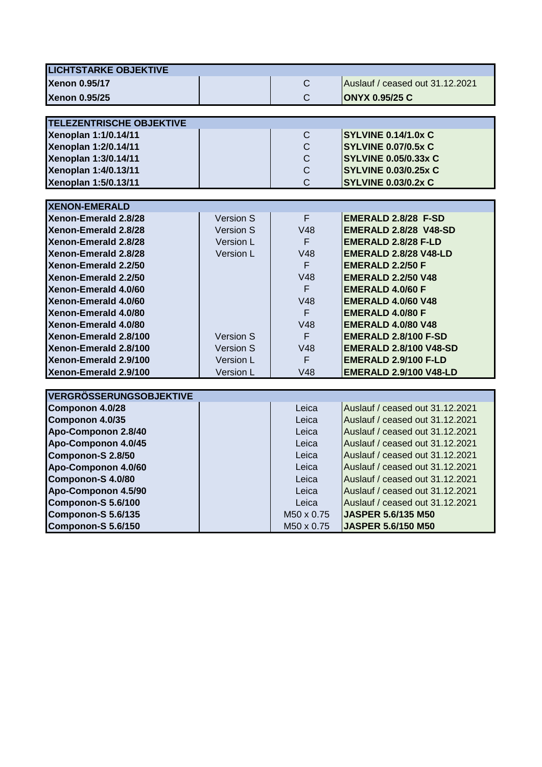| <b>LICHTSTARKE OBJEKTIVE</b>    |           |                        |                                 |
|---------------------------------|-----------|------------------------|---------------------------------|
| <b>Xenon 0.95/17</b>            |           | $\mathsf{C}$           | Auslauf / ceased out 31.12.2021 |
| <b>Xenon 0.95/25</b>            |           | $\mathsf{C}$           | <b>ONYX 0.95/25 C</b>           |
|                                 |           |                        |                                 |
| <b>TELEZENTRISCHE OBJEKTIVE</b> |           |                        |                                 |
| Xenoplan 1:1/0.14/11            |           | $\mathsf C$            | <b>SYLVINE 0.14/1.0x C</b>      |
| Xenoplan 1:2/0.14/11            |           | $\mathsf C$            | <b>SYLVINE 0.07/0.5x C</b>      |
| Xenoplan 1:3/0.14/11            |           | $\mathsf C$            | <b>SYLVINE 0.05/0.33x C</b>     |
| Xenoplan 1:4/0.13/11            |           | $\mathsf{C}$           | <b>SYLVINE 0.03/0.25x C</b>     |
| Xenoplan 1:5/0.13/11            |           | $\overline{C}$         | <b>SYLVINE 0.03/0.2x C</b>      |
|                                 |           |                        |                                 |
| <b>XENON-EMERALD</b>            |           |                        |                                 |
| Xenon-Emerald 2.8/28            | Version S | F                      | <b>EMERALD 2.8/28 F-SD</b>      |
| Xenon-Emerald 2.8/28            | Version S | V48                    | <b>EMERALD 2.8/28 V48-SD</b>    |
| Xenon-Emerald 2.8/28            | Version L | F.                     | EMERALD 2.8/28 F-LD             |
| Xenon-Emerald 2.8/28            | Version L | V48                    | <b>EMERALD 2.8/28 V48-LD</b>    |
| Xenon-Emerald 2.2/50            |           | F.                     | <b>EMERALD 2.2/50 F</b>         |
| Xenon-Emerald 2.2/50            |           | V48                    | <b>EMERALD 2.2/50 V48</b>       |
| Xenon-Emerald 4.0/60            |           | F.                     | <b>EMERALD 4.0/60 F</b>         |
| Xenon-Emerald 4.0/60            |           | V48                    | <b>EMERALD 4.0/60 V48</b>       |
| Xenon-Emerald 4.0/80            |           | F                      | <b>EMERALD 4.0/80 F</b>         |
| Xenon-Emerald 4.0/80            |           | V48                    | <b>EMERALD 4.0/80 V48</b>       |
| Xenon-Emerald 2.8/100           | Version S | F.                     | <b>EMERALD 2.8/100 F-SD</b>     |
| Xenon-Emerald 2.8/100           | Version S | V48                    | <b>EMERALD 2.8/100 V48-SD</b>   |
| Xenon-Emerald 2.9/100           | Version L | F.                     | <b>EMERALD 2.9/100 F-LD</b>     |
| Xenon-Emerald 2.9/100           | Version L | V48                    | <b>EMERALD 2.9/100 V48-LD</b>   |
|                                 |           |                        |                                 |
| <b>VERGRÖSSERUNGSOBJEKTIVE</b>  |           |                        |                                 |
| Componon 4.0/28                 |           | Leica                  | Auslauf / ceased out 31.12.2021 |
| Componon 4.0/35                 |           | Leica                  | Auslauf / ceased out 31.12.2021 |
| Apo-Componon 2.8/40             |           | Leica                  | Auslauf / ceased out 31.12.2021 |
| Apo-Componon 4.0/45             |           | Leica                  | Auslauf / ceased out 31.12.2021 |
| Componon-S 2.8/50               |           | Leica                  | Auslauf / ceased out 31.12.2021 |
| Apo-Componon 4.0/60             |           | Leica                  | Auslauf / ceased out 31.12.2021 |
| Componon-S 4.0/80               |           | Leica                  | Auslauf / ceased out 31.12.2021 |
| Apo-Componon 4.5/90             |           | Leica                  | Auslauf / ceased out 31.12.2021 |
| Componon-S 5.6/100              |           | Leica                  | Auslauf / ceased out 31.12.2021 |
| Componon-S 5.6/135              |           | M <sub>50</sub> x 0.75 | <b>JASPER 5.6/135 M50</b>       |
| Componon-S 5.6/150              |           | M50 x 0.75             | <b>JASPER 5.6/150 M50</b>       |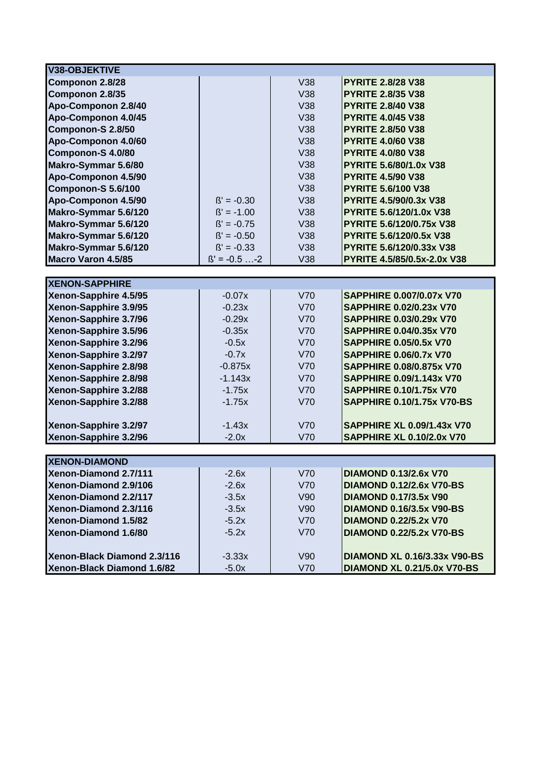| V38-OBJEKTIVE                                  |                    |            |                                     |
|------------------------------------------------|--------------------|------------|-------------------------------------|
| Componon 2.8/28                                |                    | V38        | <b>PYRITE 2.8/28 V38</b>            |
| Componon 2.8/35                                |                    | V38        | <b>PYRITE 2.8/35 V38</b>            |
| Apo-Componon 2.8/40                            |                    | V38        | <b>PYRITE 2.8/40 V38</b>            |
| Apo-Componon 4.0/45                            |                    | <b>V38</b> | <b>PYRITE 4.0/45 V38</b>            |
| Componon-S 2.8/50                              |                    | V38        | <b>PYRITE 2.8/50 V38</b>            |
| Apo-Componon 4.0/60                            |                    | V38        | <b>PYRITE 4.0/60 V38</b>            |
| Componon-S 4.0/80                              |                    | V38        | <b>PYRITE 4.0/80 V38</b>            |
| Makro-Symmar 5.6/80                            |                    | V38        | PYRITE 5.6/80/1.0x V38              |
| Apo-Componon 4.5/90                            |                    | V38        | <b>PYRITE 4.5/90 V38</b>            |
| Componon-S 5.6/100                             |                    | V38        | <b>PYRITE 5.6/100 V38</b>           |
| Apo-Componon 4.5/90                            | $\beta' = -0.30$   | V38        | PYRITE 4.5/90/0.3x V38              |
| Makro-Symmar 5.6/120                           | $\beta' = -1.00$   | V38        | <b>PYRITE 5.6/120/1.0x V38</b>      |
| Makro-Symmar 5.6/120                           | $\beta' = -0.75$   | <b>V38</b> | PYRITE 5.6/120/0.75x V38            |
| Makro-Symmar 5.6/120                           | $\beta' = -0.50$   | V38        | <b>PYRITE 5.6/120/0.5x V38</b>      |
| Makro-Symmar 5.6/120                           | $\beta' = -0.33$   | V38        | PYRITE 5.6/120/0.33x V38            |
| <b>Macro Varon 4.5/85</b>                      | $\beta' = -0.5$ -2 | V38        | PYRITE 4.5/85/0.5x-2.0x V38         |
|                                                |                    |            |                                     |
| <b>XENON-SAPPHIRE</b>                          |                    |            |                                     |
| Xenon-Sapphire 4.5/95                          | $-0.07x$           | <b>V70</b> | <b>SAPPHIRE 0.007/0.07x V70</b>     |
| Xenon-Sapphire 3.9/95                          | $-0.23x$           | V70        | <b>SAPPHIRE 0.02/0.23x V70</b>      |
| Xenon-Sapphire 3.7/96                          | $-0.29x$           | V70        | <b>SAPPHIRE 0.03/0.29x V70</b>      |
| Xenon-Sapphire 3.5/96                          | $-0.35x$           | V70        | <b>SAPPHIRE 0.04/0.35x V70</b>      |
| Xenon-Sapphire 3.2/96                          | $-0.5x$            | V70        | <b>SAPPHIRE 0.05/0.5x V70</b>       |
| Xenon-Sapphire 3.2/97                          | $-0.7x$            | V70        | <b>SAPPHIRE 0.06/0.7x V70</b>       |
| Xenon-Sapphire 2.8/98                          | $-0.875x$          | V70        | <b>SAPPHIRE 0.08/0.875x V70</b>     |
| Xenon-Sapphire 2.8/98                          | $-1.143x$          | V70        | <b>SAPPHIRE 0.09/1.143x V70</b>     |
| Xenon-Sapphire 3.2/88                          | $-1.75x$           | <b>V70</b> | <b>SAPPHIRE 0.10/1.75x V70</b>      |
| Xenon-Sapphire 3.2/88                          | $-1.75x$           | V70        | <b>SAPPHIRE 0.10/1.75x V70-BS</b>   |
|                                                |                    |            |                                     |
| Xenon-Sapphire 3.2/97                          | $-1.43x$           | V70        | <b>SAPPHIRE XL 0.09/1.43x V70</b>   |
| Xenon-Sapphire 3.2/96                          | $-2.0x$            | V70        | <b>SAPPHIRE XL 0.10/2.0x V70</b>    |
|                                                |                    |            |                                     |
| <b>XENON-DIAMOND</b>                           | $-2.6x$            | <b>V70</b> | <b>DIAMOND 0.13/2.6x V70</b>        |
| Xenon-Diamond 2.7/111<br>Xenon-Diamond 2.9/106 |                    | V70        | <b>DIAMOND 0.12/2.6x V70-BS</b>     |
| Xenon-Diamond 2.2/117                          | $-2.6x$            | V90        | <b>DIAMOND 0.17/3.5x V90</b>        |
| Xenon-Diamond 2.3/116                          | $-3.5x$            | V90        | <b>DIAMOND 0.16/3.5x V90-BS</b>     |
| Xenon-Diamond 1.5/82                           | $-3.5x$            | V70        | <b>DIAMOND 0.22/5.2x V70</b>        |
|                                                | $-5.2x$            |            |                                     |
| Xenon-Diamond 1.6/80                           | $-5.2x$            | V70        | <b>DIAMOND 0.22/5.2x V70-BS</b>     |
| Xenon-Black Diamond 2.3/116                    | $-3.33x$           | V90        | <b>DIAMOND XL 0.16/3.33x V90-BS</b> |
| Xenon-Black Diamond 1.6/82                     | $-5.0x$            | V70        | <b>DIAMOND XL 0.21/5.0x V70-BS</b>  |
|                                                |                    |            |                                     |